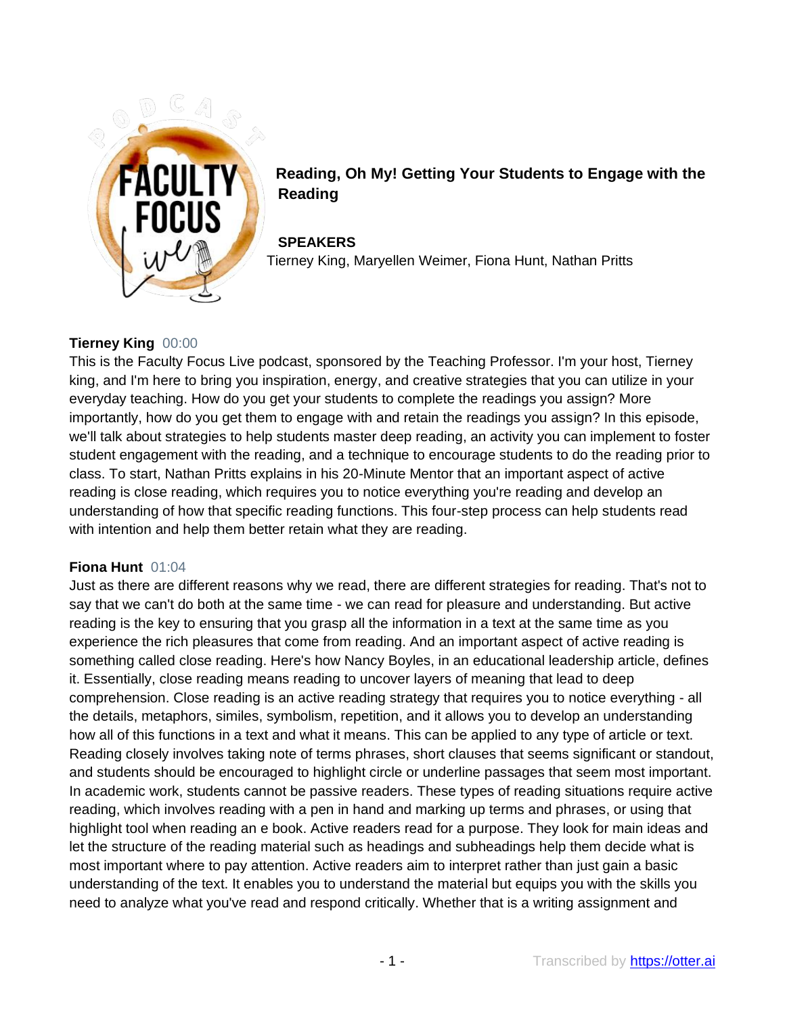

**Reading, Oh My! Getting Your Students to Engage with the Reading**

**SPEAKERS** Tierney King, Maryellen Weimer, Fiona Hunt, Nathan Pritts

## **Tierney King** 00:00

This is the Faculty Focus Live podcast, sponsored by the Teaching Professor. I'm your host, Tierney king, and I'm here to bring you inspiration, energy, and creative strategies that you can utilize in your everyday teaching. How do you get your students to complete the readings you assign? More importantly, how do you get them to engage with and retain the readings you assign? In this episode, we'll talk about strategies to help students master deep reading, an activity you can implement to foster student engagement with the reading, and a technique to encourage students to do the reading prior to class. To start, Nathan Pritts explains in his 20-Minute Mentor that an important aspect of active reading is close reading, which requires you to notice everything you're reading and develop an understanding of how that specific reading functions. This four-step process can help students read with intention and help them better retain what they are reading.

### **Fiona Hunt** 01:04

Just as there are different reasons why we read, there are different strategies for reading. That's not to say that we can't do both at the same time - we can read for pleasure and understanding. But active reading is the key to ensuring that you grasp all the information in a text at the same time as you experience the rich pleasures that come from reading. And an important aspect of active reading is something called close reading. Here's how Nancy Boyles, in an educational leadership article, defines it. Essentially, close reading means reading to uncover layers of meaning that lead to deep comprehension. Close reading is an active reading strategy that requires you to notice everything - all the details, metaphors, similes, symbolism, repetition, and it allows you to develop an understanding how all of this functions in a text and what it means. This can be applied to any type of article or text. Reading closely involves taking note of terms phrases, short clauses that seems significant or standout, and students should be encouraged to highlight circle or underline passages that seem most important. In academic work, students cannot be passive readers. These types of reading situations require active reading, which involves reading with a pen in hand and marking up terms and phrases, or using that highlight tool when reading an e book. Active readers read for a purpose. They look for main ideas and let the structure of the reading material such as headings and subheadings help them decide what is most important where to pay attention. Active readers aim to interpret rather than just gain a basic understanding of the text. It enables you to understand the material but equips you with the skills you need to analyze what you've read and respond critically. Whether that is a writing assignment and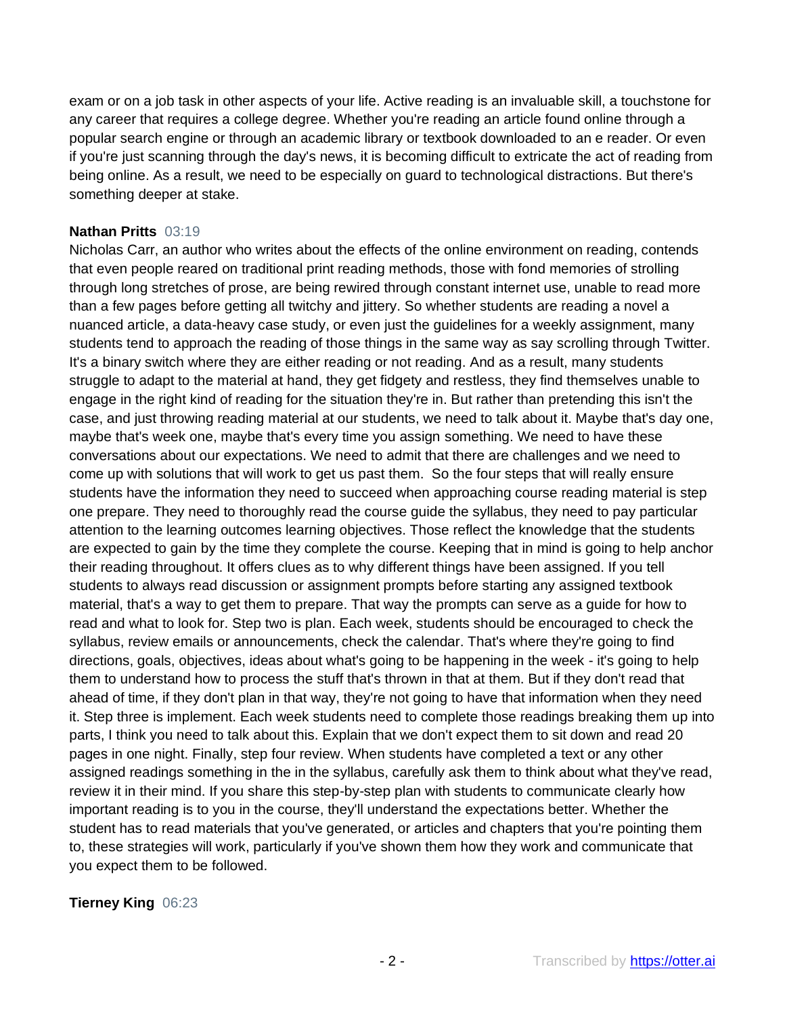exam or on a job task in other aspects of your life. Active reading is an invaluable skill, a touchstone for any career that requires a college degree. Whether you're reading an article found online through a popular search engine or through an academic library or textbook downloaded to an e reader. Or even if you're just scanning through the day's news, it is becoming difficult to extricate the act of reading from being online. As a result, we need to be especially on guard to technological distractions. But there's something deeper at stake.

### **Nathan Pritts** 03:19

Nicholas Carr, an author who writes about the effects of the online environment on reading, contends that even people reared on traditional print reading methods, those with fond memories of strolling through long stretches of prose, are being rewired through constant internet use, unable to read more than a few pages before getting all twitchy and jittery. So whether students are reading a novel a nuanced article, a data-heavy case study, or even just the guidelines for a weekly assignment, many students tend to approach the reading of those things in the same way as say scrolling through Twitter. It's a binary switch where they are either reading or not reading. And as a result, many students struggle to adapt to the material at hand, they get fidgety and restless, they find themselves unable to engage in the right kind of reading for the situation they're in. But rather than pretending this isn't the case, and just throwing reading material at our students, we need to talk about it. Maybe that's day one, maybe that's week one, maybe that's every time you assign something. We need to have these conversations about our expectations. We need to admit that there are challenges and we need to come up with solutions that will work to get us past them. So the four steps that will really ensure students have the information they need to succeed when approaching course reading material is step one prepare. They need to thoroughly read the course guide the syllabus, they need to pay particular attention to the learning outcomes learning objectives. Those reflect the knowledge that the students are expected to gain by the time they complete the course. Keeping that in mind is going to help anchor their reading throughout. It offers clues as to why different things have been assigned. If you tell students to always read discussion or assignment prompts before starting any assigned textbook material, that's a way to get them to prepare. That way the prompts can serve as a guide for how to read and what to look for. Step two is plan. Each week, students should be encouraged to check the syllabus, review emails or announcements, check the calendar. That's where they're going to find directions, goals, objectives, ideas about what's going to be happening in the week - it's going to help them to understand how to process the stuff that's thrown in that at them. But if they don't read that ahead of time, if they don't plan in that way, they're not going to have that information when they need it. Step three is implement. Each week students need to complete those readings breaking them up into parts, I think you need to talk about this. Explain that we don't expect them to sit down and read 20 pages in one night. Finally, step four review. When students have completed a text or any other assigned readings something in the in the syllabus, carefully ask them to think about what they've read, review it in their mind. If you share this step-by-step plan with students to communicate clearly how important reading is to you in the course, they'll understand the expectations better. Whether the student has to read materials that you've generated, or articles and chapters that you're pointing them to, these strategies will work, particularly if you've shown them how they work and communicate that you expect them to be followed.

### **Tierney King** 06:23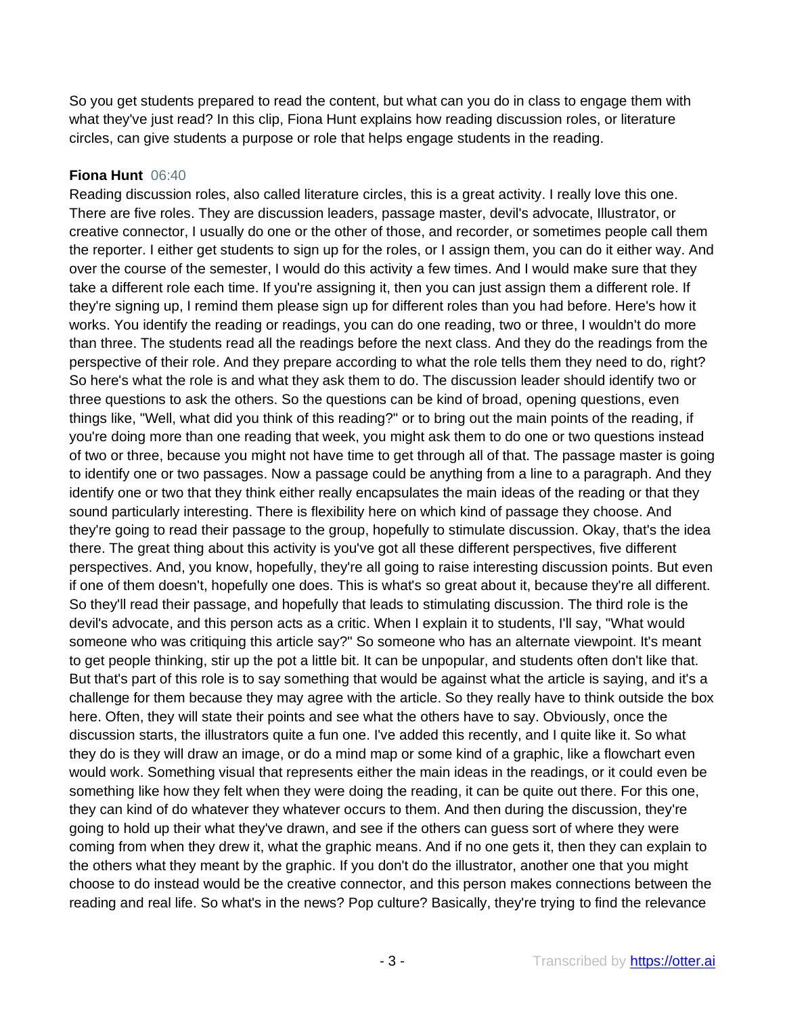So you get students prepared to read the content, but what can you do in class to engage them with what they've just read? In this clip, Fiona Hunt explains how reading discussion roles, or literature circles, can give students a purpose or role that helps engage students in the reading.

## **Fiona Hunt** 06:40

Reading discussion roles, also called literature circles, this is a great activity. I really love this one. There are five roles. They are discussion leaders, passage master, devil's advocate, Illustrator, or creative connector, I usually do one or the other of those, and recorder, or sometimes people call them the reporter. I either get students to sign up for the roles, or I assign them, you can do it either way. And over the course of the semester, I would do this activity a few times. And I would make sure that they take a different role each time. If you're assigning it, then you can just assign them a different role. If they're signing up, I remind them please sign up for different roles than you had before. Here's how it works. You identify the reading or readings, you can do one reading, two or three, I wouldn't do more than three. The students read all the readings before the next class. And they do the readings from the perspective of their role. And they prepare according to what the role tells them they need to do, right? So here's what the role is and what they ask them to do. The discussion leader should identify two or three questions to ask the others. So the questions can be kind of broad, opening questions, even things like, "Well, what did you think of this reading?" or to bring out the main points of the reading, if you're doing more than one reading that week, you might ask them to do one or two questions instead of two or three, because you might not have time to get through all of that. The passage master is going to identify one or two passages. Now a passage could be anything from a line to a paragraph. And they identify one or two that they think either really encapsulates the main ideas of the reading or that they sound particularly interesting. There is flexibility here on which kind of passage they choose. And they're going to read their passage to the group, hopefully to stimulate discussion. Okay, that's the idea there. The great thing about this activity is you've got all these different perspectives, five different perspectives. And, you know, hopefully, they're all going to raise interesting discussion points. But even if one of them doesn't, hopefully one does. This is what's so great about it, because they're all different. So they'll read their passage, and hopefully that leads to stimulating discussion. The third role is the devil's advocate, and this person acts as a critic. When I explain it to students, I'll say, "What would someone who was critiquing this article say?" So someone who has an alternate viewpoint. It's meant to get people thinking, stir up the pot a little bit. It can be unpopular, and students often don't like that. But that's part of this role is to say something that would be against what the article is saying, and it's a challenge for them because they may agree with the article. So they really have to think outside the box here. Often, they will state their points and see what the others have to say. Obviously, once the discussion starts, the illustrators quite a fun one. I've added this recently, and I quite like it. So what they do is they will draw an image, or do a mind map or some kind of a graphic, like a flowchart even would work. Something visual that represents either the main ideas in the readings, or it could even be something like how they felt when they were doing the reading, it can be quite out there. For this one, they can kind of do whatever they whatever occurs to them. And then during the discussion, they're going to hold up their what they've drawn, and see if the others can guess sort of where they were coming from when they drew it, what the graphic means. And if no one gets it, then they can explain to the others what they meant by the graphic. If you don't do the illustrator, another one that you might choose to do instead would be the creative connector, and this person makes connections between the reading and real life. So what's in the news? Pop culture? Basically, they're trying to find the relevance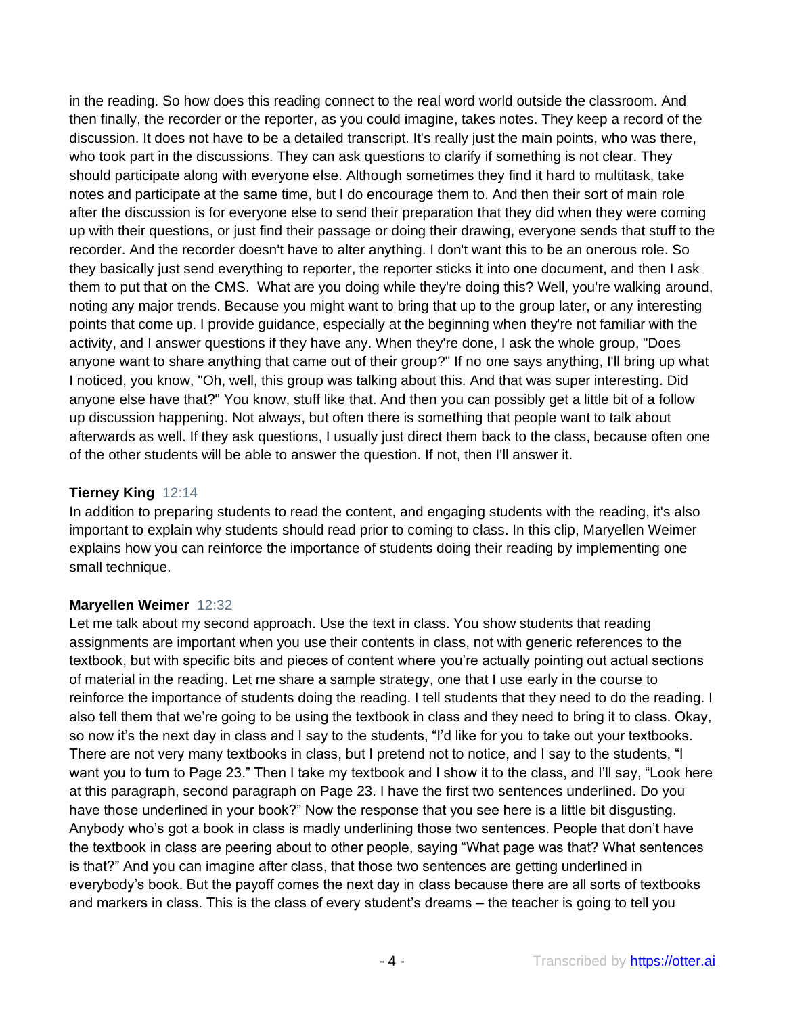in the reading. So how does this reading connect to the real word world outside the classroom. And then finally, the recorder or the reporter, as you could imagine, takes notes. They keep a record of the discussion. It does not have to be a detailed transcript. It's really just the main points, who was there, who took part in the discussions. They can ask questions to clarify if something is not clear. They should participate along with everyone else. Although sometimes they find it hard to multitask, take notes and participate at the same time, but I do encourage them to. And then their sort of main role after the discussion is for everyone else to send their preparation that they did when they were coming up with their questions, or just find their passage or doing their drawing, everyone sends that stuff to the recorder. And the recorder doesn't have to alter anything. I don't want this to be an onerous role. So they basically just send everything to reporter, the reporter sticks it into one document, and then I ask them to put that on the CMS. What are you doing while they're doing this? Well, you're walking around, noting any major trends. Because you might want to bring that up to the group later, or any interesting points that come up. I provide guidance, especially at the beginning when they're not familiar with the activity, and I answer questions if they have any. When they're done, I ask the whole group, "Does anyone want to share anything that came out of their group?" If no one says anything, I'll bring up what I noticed, you know, "Oh, well, this group was talking about this. And that was super interesting. Did anyone else have that?" You know, stuff like that. And then you can possibly get a little bit of a follow up discussion happening. Not always, but often there is something that people want to talk about afterwards as well. If they ask questions, I usually just direct them back to the class, because often one of the other students will be able to answer the question. If not, then I'll answer it.

# **Tierney King** 12:14

In addition to preparing students to read the content, and engaging students with the reading, it's also important to explain why students should read prior to coming to class. In this clip, Maryellen Weimer explains how you can reinforce the importance of students doing their reading by implementing one small technique.

# **Maryellen Weimer** 12:32

Let me talk about my second approach. Use the text in class. You show students that reading assignments are important when you use their contents in class, not with generic references to the textbook, but with specific bits and pieces of content where you're actually pointing out actual sections of material in the reading. Let me share a sample strategy, one that I use early in the course to reinforce the importance of students doing the reading. I tell students that they need to do the reading. I also tell them that we're going to be using the textbook in class and they need to bring it to class. Okay, so now it's the next day in class and I say to the students, "I'd like for you to take out your textbooks. There are not very many textbooks in class, but I pretend not to notice, and I say to the students, "I want you to turn to Page 23." Then I take my textbook and I show it to the class, and I'll say, "Look here at this paragraph, second paragraph on Page 23. I have the first two sentences underlined. Do you have those underlined in your book?" Now the response that you see here is a little bit disgusting. Anybody who's got a book in class is madly underlining those two sentences. People that don't have the textbook in class are peering about to other people, saying "What page was that? What sentences is that?" And you can imagine after class, that those two sentences are getting underlined in everybody's book. But the payoff comes the next day in class because there are all sorts of textbooks and markers in class. This is the class of every student's dreams – the teacher is going to tell you